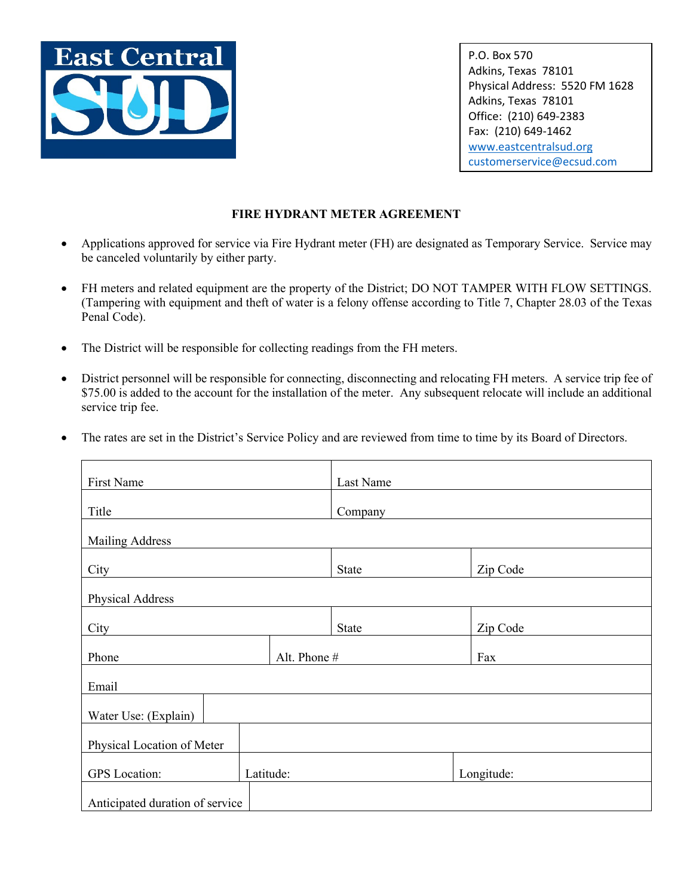

P.O. Box 570 Adkins, Texas 78101 Physical Address: 5520 FM 1628 Adkins, Texas 78101 Office: (210) 649-2383 Fax: (210) 649-1462 [www.eastcentralsud.org](http://www.eastcentralsud.org/) [customerservice@ecsud.com](mailto:customerservice@ecsud.com)

# **FIRE HYDRANT METER AGREEMENT**

- Applications approved for service via Fire Hydrant meter (FH) are designated as Temporary Service. Service may be canceled voluntarily by either party.
- FH meters and related equipment are the property of the District; DO NOT TAMPER WITH FLOW SETTINGS. (Tampering with equipment and theft of water is a felony offense according to Title 7, Chapter 28.03 of the Texas Penal Code).
- The District will be responsible for collecting readings from the FH meters.
- District personnel will be responsible for connecting, disconnecting and relocating FH meters. A service trip fee of \$75.00 is added to the account for the installation of the meter. Any subsequent relocate will include an additional service trip fee.
- The rates are set in the District's Service Policy and are reviewed from time to time by its Board of Directors.

| First Name                        | Last Name    |            |  |  |
|-----------------------------------|--------------|------------|--|--|
| Title                             | Company      |            |  |  |
| <b>Mailing Address</b>            |              |            |  |  |
| City                              | State        | Zip Code   |  |  |
| Physical Address                  |              |            |  |  |
| City                              | State        | Zip Code   |  |  |
| Phone                             | Alt. Phone # | Fax        |  |  |
| Email                             |              |            |  |  |
| Water Use: (Explain)              |              |            |  |  |
| Physical Location of Meter        |              |            |  |  |
| <b>GPS</b> Location:<br>Latitude: |              | Longitude: |  |  |
| Anticipated duration of service   |              |            |  |  |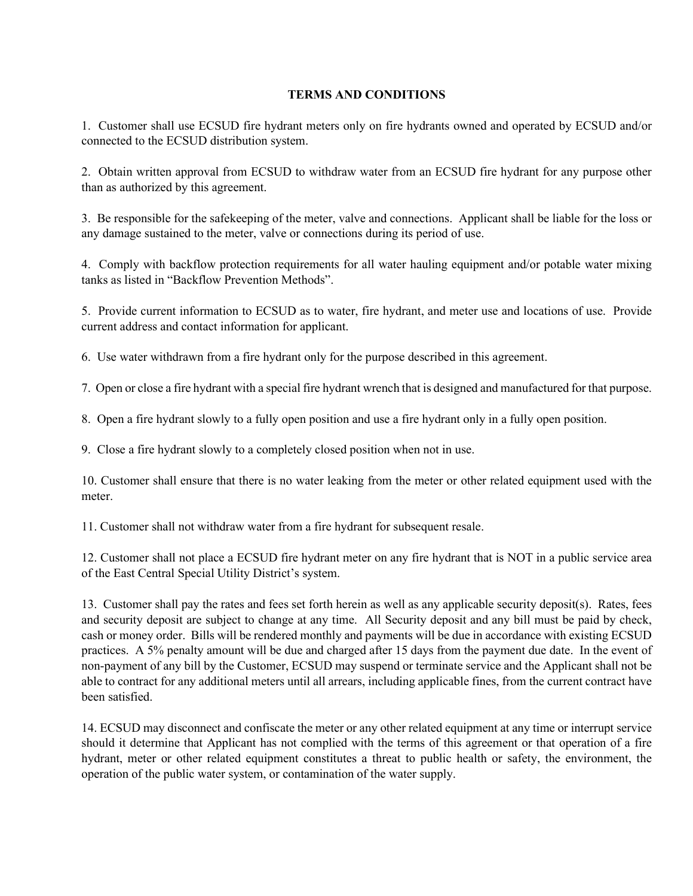## **TERMS AND CONDITIONS**

1. Customer shall use ECSUD fire hydrant meters only on fire hydrants owned and operated by ECSUD and/or connected to the ECSUD distribution system.

2. Obtain written approval from ECSUD to withdraw water from an ECSUD fire hydrant for any purpose other than as authorized by this agreement.

3. Be responsible for the safekeeping of the meter, valve and connections. Applicant shall be liable for the loss or any damage sustained to the meter, valve or connections during its period of use.

4. Comply with backflow protection requirements for all water hauling equipment and/or potable water mixing tanks as listed in "Backflow Prevention Methods".

5. Provide current information to ECSUD as to water, fire hydrant, and meter use and locations of use. Provide current address and contact information for applicant.

6. Use water withdrawn from a fire hydrant only for the purpose described in this agreement.

7. Open or close a fire hydrant with a special fire hydrant wrench that is designed and manufactured for that purpose.

8. Open a fire hydrant slowly to a fully open position and use a fire hydrant only in a fully open position.

9. Close a fire hydrant slowly to a completely closed position when not in use.

10. Customer shall ensure that there is no water leaking from the meter or other related equipment used with the meter.

11. Customer shall not withdraw water from a fire hydrant for subsequent resale.

12. Customer shall not place a ECSUD fire hydrant meter on any fire hydrant that is NOT in a public service area of the East Central Special Utility District's system.

13. Customer shall pay the rates and fees set forth herein as well as any applicable security deposit(s). Rates, fees and security deposit are subject to change at any time. All Security deposit and any bill must be paid by check, cash or money order. Bills will be rendered monthly and payments will be due in accordance with existing ECSUD practices. A 5% penalty amount will be due and charged after 15 days from the payment due date. In the event of non-payment of any bill by the Customer, ECSUD may suspend or terminate service and the Applicant shall not be able to contract for any additional meters until all arrears, including applicable fines, from the current contract have been satisfied.

14. ECSUD may disconnect and confiscate the meter or any other related equipment at any time or interrupt service should it determine that Applicant has not complied with the terms of this agreement or that operation of a fire hydrant, meter or other related equipment constitutes a threat to public health or safety, the environment, the operation of the public water system, or contamination of the water supply.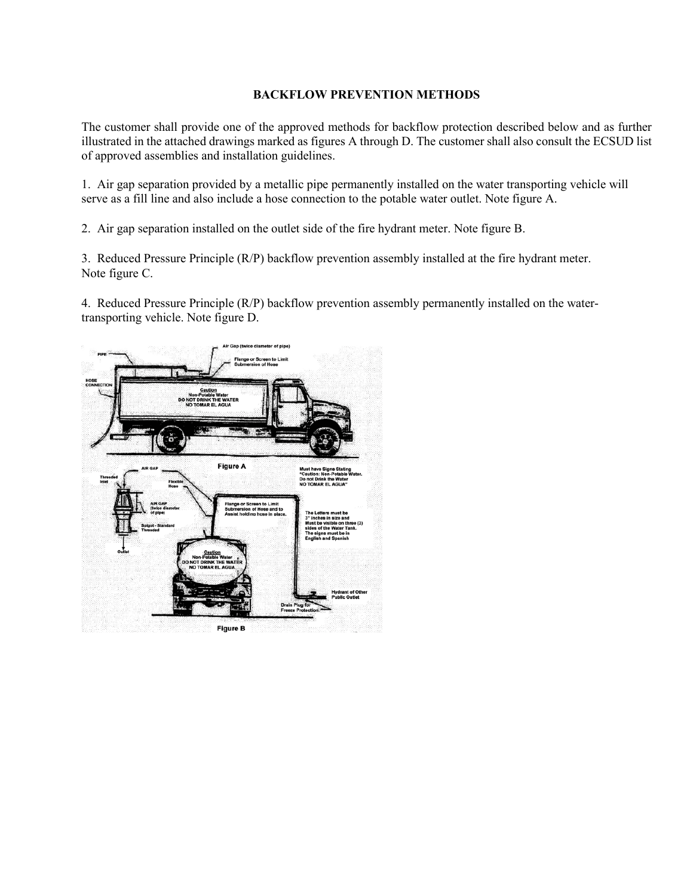### **BACKFLOW PREVENTION METHODS**

The customer shall provide one of the approved methods for backflow protection described below and as further illustrated in the attached drawings marked as figures A through D. The customer shall also consult the ECSUD list of approved assemblies and installation guidelines.

1. Air gap separation provided by a metallic pipe permanently installed on the water transporting vehicle will serve as a fill line and also include a hose connection to the potable water outlet. Note figure A.

2. Air gap separation installed on the outlet side of the fire hydrant meter. Note figure B.

3. Reduced Pressure Principle (R/P) backflow prevention assembly installed at the fire hydrant meter. Note figure C.

4. Reduced Pressure Principle (R/P) backflow prevention assembly permanently installed on the watertransporting vehicle. Note figure D.